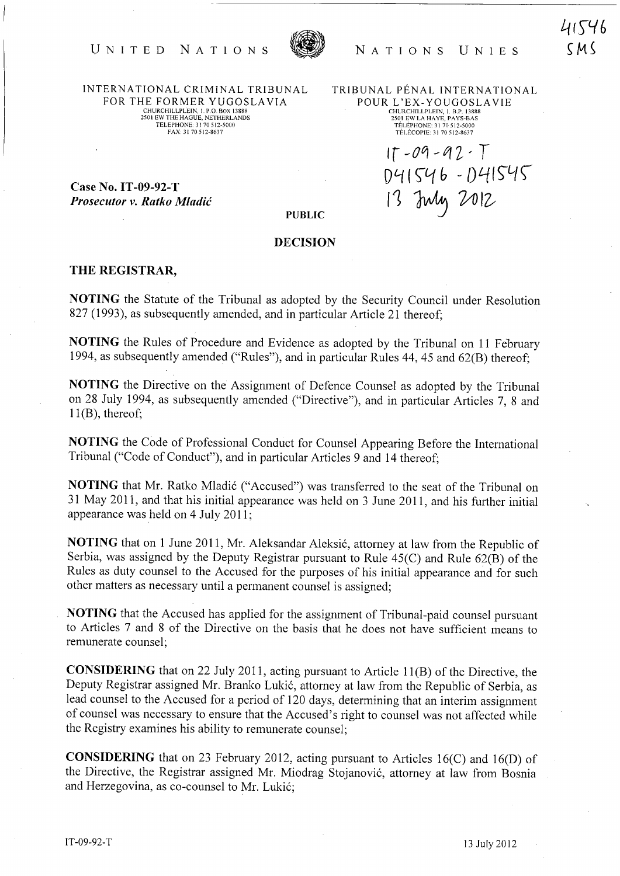

NATIONS UNIES

41546  $CM$ 

INTERNATIONAL CRIMINAL TRIBUNAL FOR THE FORMER YUGOSLA VIA CHURCHILLPLEIN, I. P.O. BOX 13888 2501 EW THE HAGUE, NETHERLANDS TELEPHONE 31 70 512-5000 FAX: 3170512-8637

UNITED NATIONS

TRIBUNAL PENAL INTERNATIONAL POUR L'EX-YOUGOSLAVIE CHURCHILLPLEIN, I. B.P. 13888 2501 EW LA HA YE, PA YS-BAS TÉLÉPHONE: 31 70 512-5000 TELECOPIE: 31 70512-8637

Ir *-00* -f1l' T

13 July 2012

Dl-f (~i1 *h* - ()L-fI~G{\

Case No. IT -09-92-T *Prosecutor v. Ratko Mladic* 

PUBLIC

## DECISION

## THE REGISTRAR,

NOTING the Statute of the Tribunal as adopted by the Security Council under Resolution 827 (1993), as subsequently amended, and in particular Article 21 thereof;

NOTING the Rules of Procedure and Evidence as adopted by the Tribunal on 11 February 1994, as subsequently amended ("Rules"), and in particular Rules 44, 45 and 62(B) thereof;

NOTING the Directive on the Assignment of Defence Counsel as adopted by the Tribunal on 28 July 1994, as subsequently amended ("Directive"), and in particular Articles 7, 8 and  $11(B)$ , thereof;

NOTING the Code of Professional Conduct for Counsel Appearing Before the International Tribunal ("Code of Conduct"), and in particular Articles 9 and 14 thereof;

NOTING that Mr. Ratko Mladić ("Accused") was transferred to the seat of the Tribunal on 31 May 2011, and that his initial appearance was held on 3 June 2011, and his further initial appearance was held on 4 July 2011;

NOTING that on 1 June 2011, Mr. Aleksandar Aleksić, attorney at law from the Republic of Serbia, was assigned by the Deputy Registrar pursuant to Rule 45(C) and Rule 62(B) of the Rules as duty counsel to the Accused for the purposes of his initial appearance and for such other matters as necessary until a permanent counsel is assigned;

NOTING that the Accused has applied for the assignment of Tribunal-paid counsel pursuant to Articles 7 and 8 of the Directive on the basis that he does not have sufficient means to remunerate counsel;

CONSIDERING that on 22 July 2011, acting pursuant to Article 11(B) of the Directive, the Deputy Registrar assigned Mr. Branko Lukić, attorney at law from the Republic of Serbia, as lead counsel to the Accused for a period of 120 days, determining that an interim assignment of counsel was necessary to ensure that the Accused's right to counsel was not affected while the Registry examines his ability to remunerate counsel;

CONSIDERING that on 23 February 2012, acting pursuant to Articles 16(C) and 16(D) of the Directive, the Registrar assigned Mr. Miodrag Stojanović, attorney at law from Bosnia and Herzegovina, as co-counsel to Mr. Lukić;